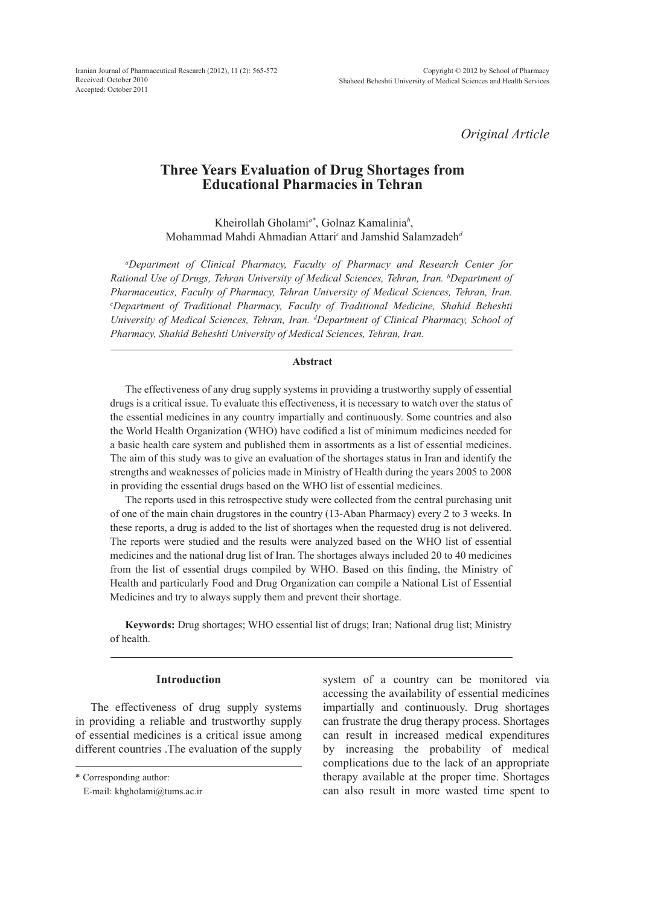Iranian Journal of Pharmaceutical Research (2012), 11 (2): 565-572 Received: October 2010 Accepted: October 2011

*Original Article*

# **Three Years Evaluation of Drug Shortages from Educational Pharmacies in Tehran**

Kheirollah Gholami*a\**, Golnaz Kamalinia*<sup>b</sup>* , Mohammad Mahdi Ahmadian Attari*<sup>c</sup>* and Jamshid Salamzadeh*<sup>d</sup>*

*a Department of Clinical Pharmacy, Faculty of Pharmacy and Research Center for Rational Use of Drugs, Tehran University of Medical Sciences, Tehran, Iran. b Department of Pharmaceutics, Faculty of Pharmacy, Tehran University of Medical Sciences, Tehran, Iran. c Department of Traditional Pharmacy, Faculty of Traditional Medicine, Shahid Beheshti University of Medical Sciences, Tehran, Iran. d Department of Clinical Pharmacy, School of Pharmacy, Shahid Beheshti University of Medical Sciences, Tehran, Iran.*

#### **Abstract**

The effectiveness of any drug supply systems in providing a trustworthy supply of essential drugs is a critical issue. To evaluate this effectiveness, it is necessary to watch over the status of the essential medicines in any country impartially and continuously. Some countries and also the World Health Organization (WHO) have codified a list of minimum medicines needed for a basic health care system and published them in assortments as a list of essential medicines. The aim of this study was to give an evaluation of the shortages status in Iran and identify the strengths and weaknesses of policies made in Ministry of Health during the years 2005 to 2008 in providing the essential drugs based on the WHO list of essential medicines.

The reports used in this retrospective study were collected from the central purchasing unit of one of the main chain drugstores in the country (13-Aban Pharmacy) every 2 to 3 weeks. In these reports, a drug is added to the list of shortages when the requested drug is not delivered. The reports were studied and the results were analyzed based on the WHO list of essential medicines and the national drug list of Iran. The shortages always included 20 to 40 medicines from the list of essential drugs compiled by WHO. Based on this finding, the Ministry of Health and particularly Food and Drug Organization can compile a National List of Essential Medicines and try to always supply them and prevent their shortage.

**Keywords:** Drug shortages; WHO essential list of drugs; Iran; National drug list; Ministry of health.

## **Introduction**

The effectiveness of drug supply systems in providing a reliable and trustworthy supply of essential medicines is a critical issue among different countries .The evaluation of the supply

system of a country can be monitored via accessing the availability of essential medicines impartially and continuously. Drug shortages can frustrate the drug therapy process. Shortages can result in increased medical expenditures by increasing the probability of medical complications due to the lack of an appropriate therapy available at the proper time. Shortages can also result in more wasted time spent to

<sup>\*</sup> Corresponding author:

E-mail: khgholami@tums.ac.ir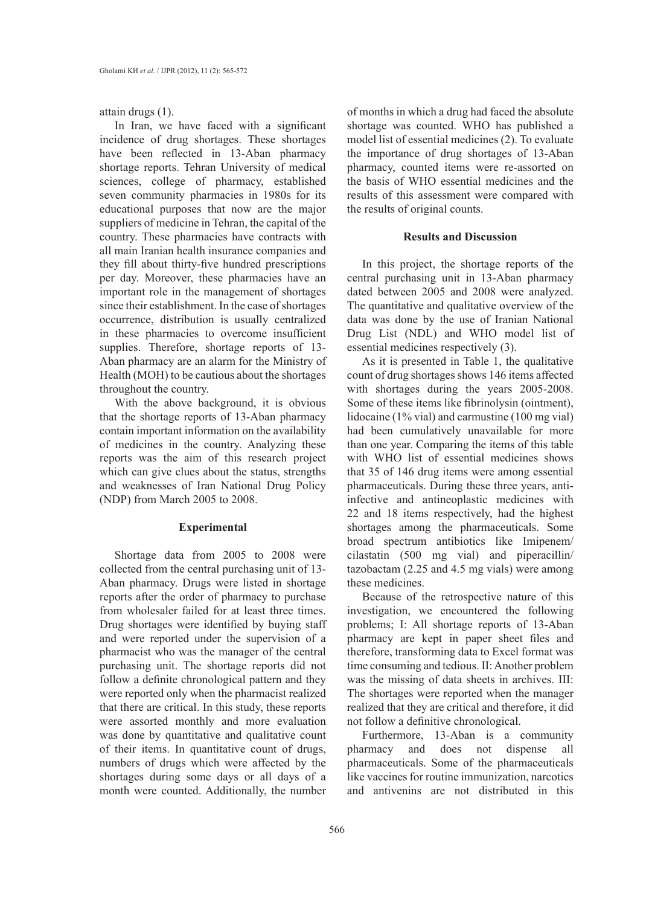attain drugs (1).

In Iran, we have faced with a significant incidence of drug shortages. These shortages have been reflected in 13-Aban pharmacy shortage reports. Tehran University of medical sciences, college of pharmacy, established seven community pharmacies in 1980s for its educational purposes that now are the major suppliers of medicine in Tehran, the capital of the country. These pharmacies have contracts with all main Iranian health insurance companies and they fill about thirty-five hundred prescriptions per day. Moreover, these pharmacies have an important role in the management of shortages since their establishment. In the case of shortages occurrence, distribution is usually centralized in these pharmacies to overcome insufficient supplies. Therefore, shortage reports of 13- Aban pharmacy are an alarm for the Ministry of Health (MOH) to be cautious about the shortages throughout the country.

With the above background, it is obvious that the shortage reports of 13-Aban pharmacy contain important information on the availability of medicines in the country. Analyzing these reports was the aim of this research project which can give clues about the status, strengths and weaknesses of Iran National Drug Policy (NDP) from March 2005 to 2008.

## **Experimental**

Shortage data from 2005 to 2008 were collected from the central purchasing unit of 13- Aban pharmacy. Drugs were listed in shortage reports after the order of pharmacy to purchase from wholesaler failed for at least three times. Drug shortages were identified by buying staff and were reported under the supervision of a pharmacist who was the manager of the central purchasing unit. The shortage reports did not follow a definite chronological pattern and they were reported only when the pharmacist realized that there are critical. In this study, these reports were assorted monthly and more evaluation was done by quantitative and qualitative count of their items. In quantitative count of drugs, numbers of drugs which were affected by the shortages during some days or all days of a month were counted. Additionally, the number

of months in which a drug had faced the absolute shortage was counted. WHO has published a model list of essential medicines (2). To evaluate the importance of drug shortages of 13-Aban pharmacy, counted items were re-assorted on the basis of WHO essential medicines and the results of this assessment were compared with the results of original counts.

## **Results and Discussion**

In this project, the shortage reports of the central purchasing unit in 13-Aban pharmacy dated between 2005 and 2008 were analyzed. The quantitative and qualitative overview of the data was done by the use of Iranian National Drug List (NDL) and WHO model list of essential medicines respectively (3).

As it is presented in Table 1, the qualitative count of drug shortages shows 146 items affected with shortages during the years 2005-2008. Some of these items like fibrinolysin (ointment), lidocaine (1% vial) and carmustine (100 mg vial) had been cumulatively unavailable for more than one year. Comparing the items of this table with WHO list of essential medicines shows that 35 of 146 drug items were among essential pharmaceuticals. During these three years, antiinfective and antineoplastic medicines with 22 and 18 items respectively, had the highest shortages among the pharmaceuticals. Some broad spectrum antibiotics like Imipenem/ cilastatin (500 mg vial) and piperacillin/ tazobactam (2.25 and 4.5 mg vials) were among these medicines.

Because of the retrospective nature of this investigation, we encountered the following problems; I: All shortage reports of 13-Aban pharmacy are kept in paper sheet files and therefore, transforming data to Excel format was time consuming and tedious. II: Another problem was the missing of data sheets in archives. III: The shortages were reported when the manager realized that they are critical and therefore, it did not follow a definitive chronological.

Furthermore, 13-Aban is a community pharmacy and does not dispense all pharmaceuticals. Some of the pharmaceuticals like vaccines for routine immunization, narcotics and antivenins are not distributed in this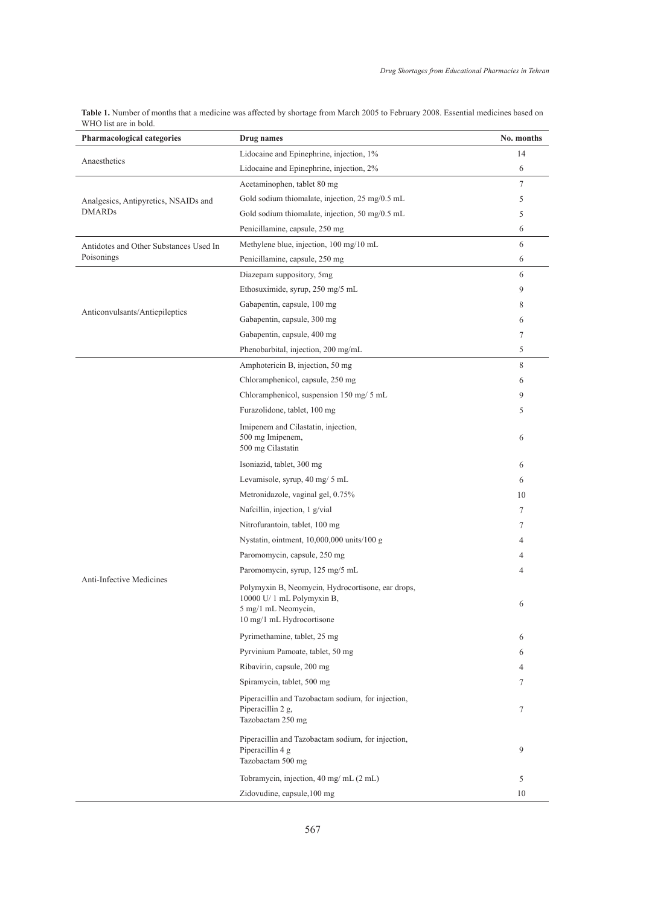| Table 1. Number of months that a medicine was affected by shortage from March 2005 to February 2008. Essential medicines based on |  |
|-----------------------------------------------------------------------------------------------------------------------------------|--|
| WHO list are in bold.                                                                                                             |  |

| Pharmacological categories                                                                                                                                                                                                                                                                                                                                                                                                                                                                                                                                                                                                                                                                                                                                                                                                                                                                                                                                                                                                                                                                                                                                                                                                                                                                                                                          | Drug names                                                                                   | No. months |
|-----------------------------------------------------------------------------------------------------------------------------------------------------------------------------------------------------------------------------------------------------------------------------------------------------------------------------------------------------------------------------------------------------------------------------------------------------------------------------------------------------------------------------------------------------------------------------------------------------------------------------------------------------------------------------------------------------------------------------------------------------------------------------------------------------------------------------------------------------------------------------------------------------------------------------------------------------------------------------------------------------------------------------------------------------------------------------------------------------------------------------------------------------------------------------------------------------------------------------------------------------------------------------------------------------------------------------------------------------|----------------------------------------------------------------------------------------------|------------|
| Lidocaine and Epinephrine, injection, 1%<br>Lidocaine and Epinephrine, injection, 2%<br>Acetaminophen, tablet 80 mg<br>Gold sodium thiomalate, injection, 25 mg/0.5 mL<br>Gold sodium thiomalate, injection, 50 mg/0.5 mL<br>Penicillamine, capsule, 250 mg<br>Methylene blue, injection, 100 mg/10 mL<br>Penicillamine, capsule, 250 mg<br>Diazepam suppository, 5mg<br>Ethosuximide, syrup, 250 mg/5 mL<br>Gabapentin, capsule, 100 mg<br>Gabapentin, capsule, 300 mg<br>Gabapentin, capsule, 400 mg<br>Phenobarbital, injection, 200 mg/mL<br>Amphotericin B, injection, 50 mg<br>Chloramphenicol, capsule, 250 mg<br>Chloramphenicol, suspension 150 mg/ 5 mL<br>Furazolidone, tablet, 100 mg<br>Imipenem and Cilastatin, injection,<br>500 mg Imipenem,<br>500 mg Cilastatin<br>Isoniazid, tablet, 300 mg<br>Levamisole, syrup, 40 mg/ 5 mL<br>Metronidazole, vaginal gel, 0.75%<br>Nafcillin, injection, 1 g/vial<br>Nitrofurantoin, tablet, 100 mg<br>Nystatin, ointment, 10,000,000 units/100 g<br>Paromomycin, capsule, 250 mg<br>Paromomycin, syrup, 125 mg/5 mL<br>Polymyxin B, Neomycin, Hydrocortisone, ear drops,<br>$10000$ U/ 1 mL Polymyxin B,<br>5 mg/1 mL Neomycin,<br>10 mg/1 mL Hydrocortisone<br>Pyrimethamine, tablet, 25 mg<br>Pyrvinium Pamoate, tablet, 50 mg<br>Ribavirin, capsule, 200 mg<br>Spiramycin, tablet, 500 mg | 14                                                                                           |            |
|                                                                                                                                                                                                                                                                                                                                                                                                                                                                                                                                                                                                                                                                                                                                                                                                                                                                                                                                                                                                                                                                                                                                                                                                                                                                                                                                                     |                                                                                              | 6          |
|                                                                                                                                                                                                                                                                                                                                                                                                                                                                                                                                                                                                                                                                                                                                                                                                                                                                                                                                                                                                                                                                                                                                                                                                                                                                                                                                                     |                                                                                              | 7          |
| Analgesics, Antipyretics, NSAIDs and                                                                                                                                                                                                                                                                                                                                                                                                                                                                                                                                                                                                                                                                                                                                                                                                                                                                                                                                                                                                                                                                                                                                                                                                                                                                                                                |                                                                                              | 5          |
| <b>DMARDs</b>                                                                                                                                                                                                                                                                                                                                                                                                                                                                                                                                                                                                                                                                                                                                                                                                                                                                                                                                                                                                                                                                                                                                                                                                                                                                                                                                       |                                                                                              | 5          |
| Anaesthetics<br>Antidotes and Other Substances Used In<br>Poisonings<br>Anticonvulsants/Antiepileptics                                                                                                                                                                                                                                                                                                                                                                                                                                                                                                                                                                                                                                                                                                                                                                                                                                                                                                                                                                                                                                                                                                                                                                                                                                              |                                                                                              | 6          |
|                                                                                                                                                                                                                                                                                                                                                                                                                                                                                                                                                                                                                                                                                                                                                                                                                                                                                                                                                                                                                                                                                                                                                                                                                                                                                                                                                     |                                                                                              | 6          |
|                                                                                                                                                                                                                                                                                                                                                                                                                                                                                                                                                                                                                                                                                                                                                                                                                                                                                                                                                                                                                                                                                                                                                                                                                                                                                                                                                     |                                                                                              | 6          |
|                                                                                                                                                                                                                                                                                                                                                                                                                                                                                                                                                                                                                                                                                                                                                                                                                                                                                                                                                                                                                                                                                                                                                                                                                                                                                                                                                     |                                                                                              | 6          |
|                                                                                                                                                                                                                                                                                                                                                                                                                                                                                                                                                                                                                                                                                                                                                                                                                                                                                                                                                                                                                                                                                                                                                                                                                                                                                                                                                     |                                                                                              | 9          |
|                                                                                                                                                                                                                                                                                                                                                                                                                                                                                                                                                                                                                                                                                                                                                                                                                                                                                                                                                                                                                                                                                                                                                                                                                                                                                                                                                     |                                                                                              | 8          |
|                                                                                                                                                                                                                                                                                                                                                                                                                                                                                                                                                                                                                                                                                                                                                                                                                                                                                                                                                                                                                                                                                                                                                                                                                                                                                                                                                     |                                                                                              | 6          |
|                                                                                                                                                                                                                                                                                                                                                                                                                                                                                                                                                                                                                                                                                                                                                                                                                                                                                                                                                                                                                                                                                                                                                                                                                                                                                                                                                     |                                                                                              | 7          |
|                                                                                                                                                                                                                                                                                                                                                                                                                                                                                                                                                                                                                                                                                                                                                                                                                                                                                                                                                                                                                                                                                                                                                                                                                                                                                                                                                     |                                                                                              | 5          |
|                                                                                                                                                                                                                                                                                                                                                                                                                                                                                                                                                                                                                                                                                                                                                                                                                                                                                                                                                                                                                                                                                                                                                                                                                                                                                                                                                     |                                                                                              | 8          |
|                                                                                                                                                                                                                                                                                                                                                                                                                                                                                                                                                                                                                                                                                                                                                                                                                                                                                                                                                                                                                                                                                                                                                                                                                                                                                                                                                     |                                                                                              | 6          |
|                                                                                                                                                                                                                                                                                                                                                                                                                                                                                                                                                                                                                                                                                                                                                                                                                                                                                                                                                                                                                                                                                                                                                                                                                                                                                                                                                     |                                                                                              | 9          |
|                                                                                                                                                                                                                                                                                                                                                                                                                                                                                                                                                                                                                                                                                                                                                                                                                                                                                                                                                                                                                                                                                                                                                                                                                                                                                                                                                     |                                                                                              | 5          |
|                                                                                                                                                                                                                                                                                                                                                                                                                                                                                                                                                                                                                                                                                                                                                                                                                                                                                                                                                                                                                                                                                                                                                                                                                                                                                                                                                     |                                                                                              | 6          |
|                                                                                                                                                                                                                                                                                                                                                                                                                                                                                                                                                                                                                                                                                                                                                                                                                                                                                                                                                                                                                                                                                                                                                                                                                                                                                                                                                     |                                                                                              | 6          |
|                                                                                                                                                                                                                                                                                                                                                                                                                                                                                                                                                                                                                                                                                                                                                                                                                                                                                                                                                                                                                                                                                                                                                                                                                                                                                                                                                     |                                                                                              | 6          |
|                                                                                                                                                                                                                                                                                                                                                                                                                                                                                                                                                                                                                                                                                                                                                                                                                                                                                                                                                                                                                                                                                                                                                                                                                                                                                                                                                     |                                                                                              | 10         |
|                                                                                                                                                                                                                                                                                                                                                                                                                                                                                                                                                                                                                                                                                                                                                                                                                                                                                                                                                                                                                                                                                                                                                                                                                                                                                                                                                     |                                                                                              | 7          |
|                                                                                                                                                                                                                                                                                                                                                                                                                                                                                                                                                                                                                                                                                                                                                                                                                                                                                                                                                                                                                                                                                                                                                                                                                                                                                                                                                     |                                                                                              | 7          |
|                                                                                                                                                                                                                                                                                                                                                                                                                                                                                                                                                                                                                                                                                                                                                                                                                                                                                                                                                                                                                                                                                                                                                                                                                                                                                                                                                     |                                                                                              | 4          |
|                                                                                                                                                                                                                                                                                                                                                                                                                                                                                                                                                                                                                                                                                                                                                                                                                                                                                                                                                                                                                                                                                                                                                                                                                                                                                                                                                     |                                                                                              | 4          |
|                                                                                                                                                                                                                                                                                                                                                                                                                                                                                                                                                                                                                                                                                                                                                                                                                                                                                                                                                                                                                                                                                                                                                                                                                                                                                                                                                     |                                                                                              | 4          |
| <b>Anti-Infective Medicines</b>                                                                                                                                                                                                                                                                                                                                                                                                                                                                                                                                                                                                                                                                                                                                                                                                                                                                                                                                                                                                                                                                                                                                                                                                                                                                                                                     |                                                                                              |            |
|                                                                                                                                                                                                                                                                                                                                                                                                                                                                                                                                                                                                                                                                                                                                                                                                                                                                                                                                                                                                                                                                                                                                                                                                                                                                                                                                                     |                                                                                              | 6          |
|                                                                                                                                                                                                                                                                                                                                                                                                                                                                                                                                                                                                                                                                                                                                                                                                                                                                                                                                                                                                                                                                                                                                                                                                                                                                                                                                                     |                                                                                              |            |
|                                                                                                                                                                                                                                                                                                                                                                                                                                                                                                                                                                                                                                                                                                                                                                                                                                                                                                                                                                                                                                                                                                                                                                                                                                                                                                                                                     |                                                                                              | 6          |
|                                                                                                                                                                                                                                                                                                                                                                                                                                                                                                                                                                                                                                                                                                                                                                                                                                                                                                                                                                                                                                                                                                                                                                                                                                                                                                                                                     |                                                                                              | 6          |
|                                                                                                                                                                                                                                                                                                                                                                                                                                                                                                                                                                                                                                                                                                                                                                                                                                                                                                                                                                                                                                                                                                                                                                                                                                                                                                                                                     |                                                                                              | 4          |
|                                                                                                                                                                                                                                                                                                                                                                                                                                                                                                                                                                                                                                                                                                                                                                                                                                                                                                                                                                                                                                                                                                                                                                                                                                                                                                                                                     |                                                                                              | 7          |
|                                                                                                                                                                                                                                                                                                                                                                                                                                                                                                                                                                                                                                                                                                                                                                                                                                                                                                                                                                                                                                                                                                                                                                                                                                                                                                                                                     | Piperacillin and Tazobactam sodium, for injection,<br>Piperacillin 2 g,<br>Tazobactam 250 mg | 7          |
|                                                                                                                                                                                                                                                                                                                                                                                                                                                                                                                                                                                                                                                                                                                                                                                                                                                                                                                                                                                                                                                                                                                                                                                                                                                                                                                                                     | Piperacillin and Tazobactam sodium, for injection,<br>Piperacillin 4 g<br>Tazobactam 500 mg  | 9          |
|                                                                                                                                                                                                                                                                                                                                                                                                                                                                                                                                                                                                                                                                                                                                                                                                                                                                                                                                                                                                                                                                                                                                                                                                                                                                                                                                                     | Tobramycin, injection, 40 mg/ mL (2 mL)                                                      | 5          |
|                                                                                                                                                                                                                                                                                                                                                                                                                                                                                                                                                                                                                                                                                                                                                                                                                                                                                                                                                                                                                                                                                                                                                                                                                                                                                                                                                     | Zidovudine, capsule, 100 mg                                                                  | 10         |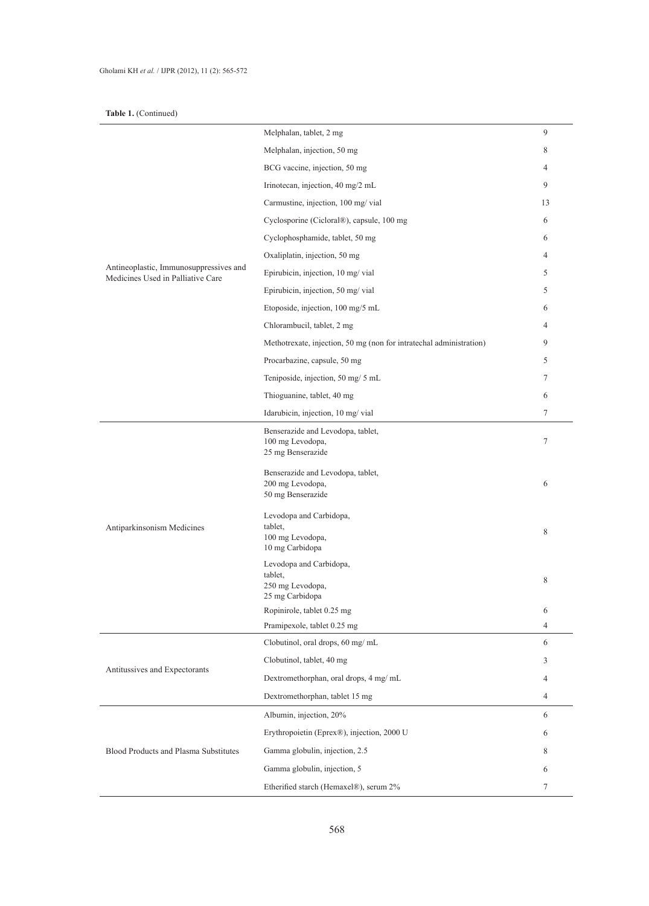## **Table 1.** (Continued)

|                                                                             | Melphalan, tablet, 2 mg                                                    | 9              |
|-----------------------------------------------------------------------------|----------------------------------------------------------------------------|----------------|
|                                                                             | Melphalan, injection, 50 mg                                                | 8              |
|                                                                             | BCG vaccine, injection, 50 mg                                              | $\overline{4}$ |
|                                                                             | Irinotecan, injection, 40 mg/2 mL                                          | 9              |
| Antineoplastic, Immunosuppressives and<br>Medicines Used in Palliative Care | Carmustine, injection, 100 mg/ vial                                        | 13             |
|                                                                             | Cyclosporine (Cicloral®), capsule, 100 mg                                  | 6              |
|                                                                             | Cyclophosphamide, tablet, 50 mg                                            | 6              |
|                                                                             | Oxaliplatin, injection, 50 mg                                              | $\overline{4}$ |
|                                                                             | Epirubicin, injection, 10 mg/ vial                                         | 5              |
|                                                                             | Epirubicin, injection, 50 mg/ vial                                         | 5              |
|                                                                             | Etoposide, injection, 100 mg/5 mL                                          | 6              |
|                                                                             | Chlorambucil, tablet, 2 mg                                                 | $\overline{4}$ |
|                                                                             | Methotrexate, injection, 50 mg (non for intratechal administration)        | 9              |
|                                                                             | Procarbazine, capsule, 50 mg                                               | 5              |
|                                                                             | Teniposide, injection, 50 mg/ 5 mL                                         | 7              |
|                                                                             | Thioguanine, tablet, 40 mg                                                 | 6              |
|                                                                             | Idarubicin, injection, 10 mg/ vial                                         | $\tau$         |
| Antiparkinsonism Medicines                                                  | Benserazide and Levodopa, tablet,<br>100 mg Levodopa,<br>25 mg Benserazide | 7              |
|                                                                             | Benserazide and Levodopa, tablet,<br>200 mg Levodopa,<br>50 mg Benserazide | 6              |
|                                                                             | Levodopa and Carbidopa,<br>tablet,<br>100 mg Levodopa,<br>10 mg Carbidopa  | 8              |
|                                                                             | Levodopa and Carbidopa,<br>tablet.<br>250 mg Levodopa,<br>25 mg Carbidopa  | 8              |
|                                                                             | Ropinirole, tablet 0.25 mg                                                 | 6              |
|                                                                             | Pramipexole, tablet 0.25 mg                                                | 4              |
|                                                                             | Clobutinol, oral drops, 60 mg/ mL                                          | 6              |
| Antitussives and Expectorants                                               | Clobutinol, tablet, 40 mg                                                  | 3              |
|                                                                             | Dextromethorphan, oral drops, 4 mg/ mL                                     | $\overline{4}$ |
|                                                                             | Dextromethorphan, tablet 15 mg                                             | $\overline{4}$ |
| Blood Products and Plasma Substitutes                                       | Albumin, injection, 20%                                                    | 6              |
|                                                                             | Erythropoietin (Eprex®), injection, 2000 U                                 | 6              |
|                                                                             | Gamma globulin, injection, 2.5                                             | 8              |
|                                                                             | Gamma globulin, injection, 5                                               | 6              |
|                                                                             | Etherified starch (Hemaxel®), serum 2%                                     | 7              |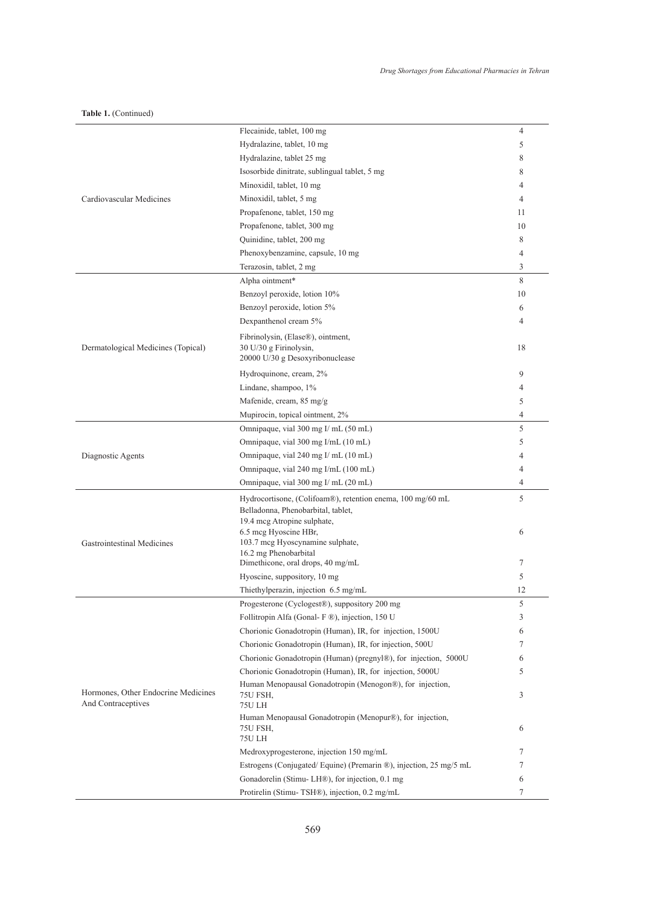**Table 1.** (Continued)

|                                                                                                                                                                                                                                                                                                                                                                                                                                                                                                                                                                                                                                                                                                                                                                                                                                                                                                                                                                                                                                                                       | Flecainide, tablet, 100 mg                                        | 4              |
|-----------------------------------------------------------------------------------------------------------------------------------------------------------------------------------------------------------------------------------------------------------------------------------------------------------------------------------------------------------------------------------------------------------------------------------------------------------------------------------------------------------------------------------------------------------------------------------------------------------------------------------------------------------------------------------------------------------------------------------------------------------------------------------------------------------------------------------------------------------------------------------------------------------------------------------------------------------------------------------------------------------------------------------------------------------------------|-------------------------------------------------------------------|----------------|
|                                                                                                                                                                                                                                                                                                                                                                                                                                                                                                                                                                                                                                                                                                                                                                                                                                                                                                                                                                                                                                                                       | Hydralazine, tablet, 10 mg                                        | 5              |
|                                                                                                                                                                                                                                                                                                                                                                                                                                                                                                                                                                                                                                                                                                                                                                                                                                                                                                                                                                                                                                                                       | Hydralazine, tablet 25 mg                                         | 8              |
|                                                                                                                                                                                                                                                                                                                                                                                                                                                                                                                                                                                                                                                                                                                                                                                                                                                                                                                                                                                                                                                                       | Isosorbide dinitrate, sublingual tablet, 5 mg                     | 8              |
|                                                                                                                                                                                                                                                                                                                                                                                                                                                                                                                                                                                                                                                                                                                                                                                                                                                                                                                                                                                                                                                                       | Minoxidil, tablet, 10 mg                                          | 4              |
| Cardiovascular Medicines                                                                                                                                                                                                                                                                                                                                                                                                                                                                                                                                                                                                                                                                                                                                                                                                                                                                                                                                                                                                                                              | Minoxidil, tablet, 5 mg                                           | $\overline{4}$ |
|                                                                                                                                                                                                                                                                                                                                                                                                                                                                                                                                                                                                                                                                                                                                                                                                                                                                                                                                                                                                                                                                       | Propafenone, tablet, 150 mg                                       | 11             |
|                                                                                                                                                                                                                                                                                                                                                                                                                                                                                                                                                                                                                                                                                                                                                                                                                                                                                                                                                                                                                                                                       | Propafenone, tablet, 300 mg                                       | 10             |
|                                                                                                                                                                                                                                                                                                                                                                                                                                                                                                                                                                                                                                                                                                                                                                                                                                                                                                                                                                                                                                                                       | Quinidine, tablet, 200 mg                                         | 8              |
|                                                                                                                                                                                                                                                                                                                                                                                                                                                                                                                                                                                                                                                                                                                                                                                                                                                                                                                                                                                                                                                                       | Phenoxybenzamine, capsule, 10 mg                                  | 4              |
|                                                                                                                                                                                                                                                                                                                                                                                                                                                                                                                                                                                                                                                                                                                                                                                                                                                                                                                                                                                                                                                                       | Terazosin, tablet, 2 mg                                           | 3              |
| Alpha ointment*<br>Benzoyl peroxide, lotion 10%<br>Benzoyl peroxide, lotion 5%<br>Dexpanthenol cream 5%<br>Fibrinolysin, (Elase®), ointment,<br>30 U/30 g Firinolysin,<br>Dermatological Medicines (Topical)<br>20000 U/30 g Desoxyribonuclease<br>Hydroquinone, cream, 2%<br>Lindane, shampoo, 1%<br>Mafenide, cream, 85 mg/g<br>Mupirocin, topical ointment, 2%<br>Omnipaque, vial 300 mg I/ mL (50 mL)<br>Omnipaque, vial 300 mg I/mL (10 mL)<br>Diagnostic Agents<br>Omnipaque, vial 240 mg I/ mL (10 mL)<br>Omnipaque, vial 240 mg I/mL (100 mL)<br>Omnipaque, vial 300 mg I/ mL (20 mL)<br>Hydrocortisone, (Colifoam®), retention enema, 100 mg/60 mL<br>Belladonna, Phenobarbital, tablet,<br>19.4 mcg Atropine sulphate,<br>6.5 mcg Hyoscine HBr,<br>103.7 mcg Hyoscynamine sulphate,<br>Gastrointestinal Medicines<br>16.2 mg Phenobarbital<br>Dimethicone, oral drops, 40 mg/mL<br>Hyoscine, suppository, 10 mg<br>Thiethylperazin, injection 6.5 mg/mL<br>Progesterone (Cyclogest®), suppository 200 mg<br>Follitropin Alfa (Gonal- F ®), injection, 150 U | 8                                                                 |                |
|                                                                                                                                                                                                                                                                                                                                                                                                                                                                                                                                                                                                                                                                                                                                                                                                                                                                                                                                                                                                                                                                       |                                                                   | 10             |
|                                                                                                                                                                                                                                                                                                                                                                                                                                                                                                                                                                                                                                                                                                                                                                                                                                                                                                                                                                                                                                                                       |                                                                   | 6              |
|                                                                                                                                                                                                                                                                                                                                                                                                                                                                                                                                                                                                                                                                                                                                                                                                                                                                                                                                                                                                                                                                       |                                                                   | 4              |
|                                                                                                                                                                                                                                                                                                                                                                                                                                                                                                                                                                                                                                                                                                                                                                                                                                                                                                                                                                                                                                                                       |                                                                   |                |
|                                                                                                                                                                                                                                                                                                                                                                                                                                                                                                                                                                                                                                                                                                                                                                                                                                                                                                                                                                                                                                                                       |                                                                   | 18             |
|                                                                                                                                                                                                                                                                                                                                                                                                                                                                                                                                                                                                                                                                                                                                                                                                                                                                                                                                                                                                                                                                       |                                                                   |                |
| Hormones, Other Endocrine Medicines<br>And Contraceptives<br>75U LH                                                                                                                                                                                                                                                                                                                                                                                                                                                                                                                                                                                                                                                                                                                                                                                                                                                                                                                                                                                                   |                                                                   | 9              |
|                                                                                                                                                                                                                                                                                                                                                                                                                                                                                                                                                                                                                                                                                                                                                                                                                                                                                                                                                                                                                                                                       |                                                                   | 4              |
|                                                                                                                                                                                                                                                                                                                                                                                                                                                                                                                                                                                                                                                                                                                                                                                                                                                                                                                                                                                                                                                                       |                                                                   | 5              |
|                                                                                                                                                                                                                                                                                                                                                                                                                                                                                                                                                                                                                                                                                                                                                                                                                                                                                                                                                                                                                                                                       |                                                                   | 4              |
|                                                                                                                                                                                                                                                                                                                                                                                                                                                                                                                                                                                                                                                                                                                                                                                                                                                                                                                                                                                                                                                                       |                                                                   | 5              |
|                                                                                                                                                                                                                                                                                                                                                                                                                                                                                                                                                                                                                                                                                                                                                                                                                                                                                                                                                                                                                                                                       |                                                                   | 5              |
|                                                                                                                                                                                                                                                                                                                                                                                                                                                                                                                                                                                                                                                                                                                                                                                                                                                                                                                                                                                                                                                                       |                                                                   | 4              |
|                                                                                                                                                                                                                                                                                                                                                                                                                                                                                                                                                                                                                                                                                                                                                                                                                                                                                                                                                                                                                                                                       |                                                                   | 4              |
|                                                                                                                                                                                                                                                                                                                                                                                                                                                                                                                                                                                                                                                                                                                                                                                                                                                                                                                                                                                                                                                                       |                                                                   | 4              |
|                                                                                                                                                                                                                                                                                                                                                                                                                                                                                                                                                                                                                                                                                                                                                                                                                                                                                                                                                                                                                                                                       |                                                                   | 5              |
|                                                                                                                                                                                                                                                                                                                                                                                                                                                                                                                                                                                                                                                                                                                                                                                                                                                                                                                                                                                                                                                                       |                                                                   |                |
|                                                                                                                                                                                                                                                                                                                                                                                                                                                                                                                                                                                                                                                                                                                                                                                                                                                                                                                                                                                                                                                                       |                                                                   |                |
|                                                                                                                                                                                                                                                                                                                                                                                                                                                                                                                                                                                                                                                                                                                                                                                                                                                                                                                                                                                                                                                                       |                                                                   | 6              |
|                                                                                                                                                                                                                                                                                                                                                                                                                                                                                                                                                                                                                                                                                                                                                                                                                                                                                                                                                                                                                                                                       |                                                                   |                |
|                                                                                                                                                                                                                                                                                                                                                                                                                                                                                                                                                                                                                                                                                                                                                                                                                                                                                                                                                                                                                                                                       |                                                                   | 7              |
|                                                                                                                                                                                                                                                                                                                                                                                                                                                                                                                                                                                                                                                                                                                                                                                                                                                                                                                                                                                                                                                                       |                                                                   | 5              |
|                                                                                                                                                                                                                                                                                                                                                                                                                                                                                                                                                                                                                                                                                                                                                                                                                                                                                                                                                                                                                                                                       |                                                                   | 12             |
|                                                                                                                                                                                                                                                                                                                                                                                                                                                                                                                                                                                                                                                                                                                                                                                                                                                                                                                                                                                                                                                                       |                                                                   | 5              |
|                                                                                                                                                                                                                                                                                                                                                                                                                                                                                                                                                                                                                                                                                                                                                                                                                                                                                                                                                                                                                                                                       |                                                                   | 3              |
|                                                                                                                                                                                                                                                                                                                                                                                                                                                                                                                                                                                                                                                                                                                                                                                                                                                                                                                                                                                                                                                                       | Chorionic Gonadotropin (Human), IR, for injection, 1500U          | 6              |
|                                                                                                                                                                                                                                                                                                                                                                                                                                                                                                                                                                                                                                                                                                                                                                                                                                                                                                                                                                                                                                                                       | Chorionic Gonadotropin (Human), IR, for injection, 500U           | 7              |
|                                                                                                                                                                                                                                                                                                                                                                                                                                                                                                                                                                                                                                                                                                                                                                                                                                                                                                                                                                                                                                                                       | Chorionic Gonadotropin (Human) (pregnyl®), for injection, 5000U   | 6              |
|                                                                                                                                                                                                                                                                                                                                                                                                                                                                                                                                                                                                                                                                                                                                                                                                                                                                                                                                                                                                                                                                       | Chorionic Gonadotropin (Human), IR, for injection, 5000U          | 5              |
|                                                                                                                                                                                                                                                                                                                                                                                                                                                                                                                                                                                                                                                                                                                                                                                                                                                                                                                                                                                                                                                                       | Human Menopausal Gonadotropin (Menogon®), for injection,          |                |
|                                                                                                                                                                                                                                                                                                                                                                                                                                                                                                                                                                                                                                                                                                                                                                                                                                                                                                                                                                                                                                                                       | 75U FSH,                                                          | 3              |
|                                                                                                                                                                                                                                                                                                                                                                                                                                                                                                                                                                                                                                                                                                                                                                                                                                                                                                                                                                                                                                                                       | Human Menopausal Gonadotropin (Menopur®), for injection,          |                |
|                                                                                                                                                                                                                                                                                                                                                                                                                                                                                                                                                                                                                                                                                                                                                                                                                                                                                                                                                                                                                                                                       | 75U FSH,                                                          | 6              |
|                                                                                                                                                                                                                                                                                                                                                                                                                                                                                                                                                                                                                                                                                                                                                                                                                                                                                                                                                                                                                                                                       | <b>75U LH</b>                                                     |                |
|                                                                                                                                                                                                                                                                                                                                                                                                                                                                                                                                                                                                                                                                                                                                                                                                                                                                                                                                                                                                                                                                       | Medroxyprogesterone, injection 150 mg/mL                          | 7              |
|                                                                                                                                                                                                                                                                                                                                                                                                                                                                                                                                                                                                                                                                                                                                                                                                                                                                                                                                                                                                                                                                       | Estrogens (Conjugated/Equine) (Premarin ®), injection, 25 mg/5 mL | 7              |
|                                                                                                                                                                                                                                                                                                                                                                                                                                                                                                                                                                                                                                                                                                                                                                                                                                                                                                                                                                                                                                                                       | Gonadorelin (Stimu-LH®), for injection, 0.1 mg                    | 6              |
|                                                                                                                                                                                                                                                                                                                                                                                                                                                                                                                                                                                                                                                                                                                                                                                                                                                                                                                                                                                                                                                                       | Protirelin (Stimu-TSH®), injection, 0.2 mg/mL                     | $\tau$         |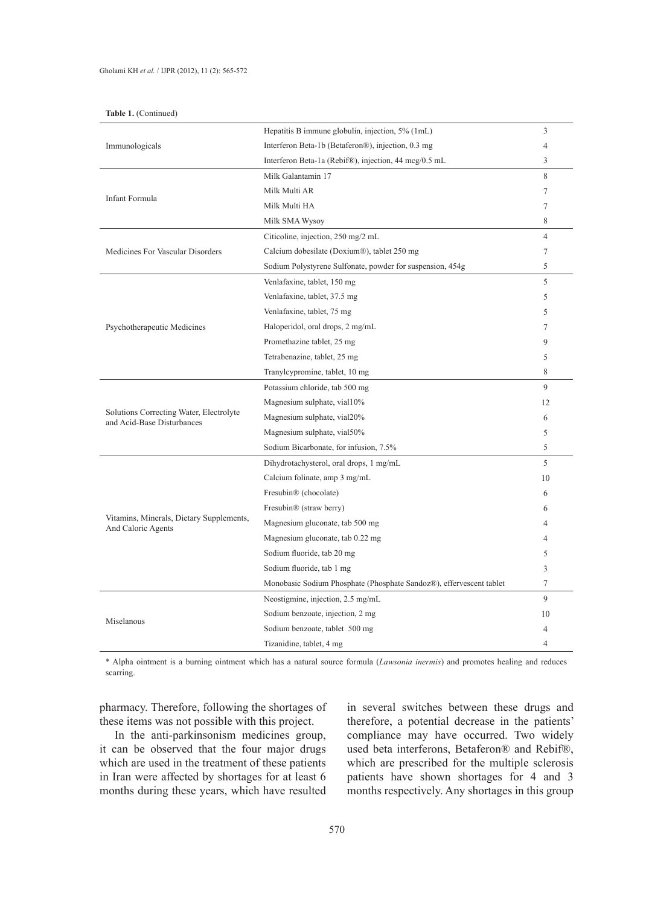|  | <b>Table 1.</b> (Continued) |
|--|-----------------------------|
|--|-----------------------------|

|                                                                       | Hepatitis B immune globulin, injection, 5% (1mL)                                                                                                                                                                                                                                                                                                                                                                                                   | 3              |
|-----------------------------------------------------------------------|----------------------------------------------------------------------------------------------------------------------------------------------------------------------------------------------------------------------------------------------------------------------------------------------------------------------------------------------------------------------------------------------------------------------------------------------------|----------------|
| Immunologicals                                                        | Interferon Beta-1b (Betaferon®), injection, 0.3 mg<br>$\overline{4}$<br>Interferon Beta-1a (Rebif®), injection, 44 mcg/0.5 mL<br>3<br>8<br>Milk Galantamin 17<br>Milk Multi AR<br>7<br>Milk Multi HA<br>7<br>8<br>Milk SMA Wysoy<br>$\overline{4}$<br>Citicoline, injection, 250 mg/2 mL<br>Calcium dobesilate (Doxium®), tablet 250 mg<br>7<br>5<br>Sodium Polystyrene Sulfonate, powder for suspension, 454g<br>Venlafaxine, tablet, 150 mg<br>5 |                |
|                                                                       |                                                                                                                                                                                                                                                                                                                                                                                                                                                    |                |
|                                                                       |                                                                                                                                                                                                                                                                                                                                                                                                                                                    |                |
|                                                                       |                                                                                                                                                                                                                                                                                                                                                                                                                                                    |                |
| Infant Formula                                                        |                                                                                                                                                                                                                                                                                                                                                                                                                                                    |                |
|                                                                       |                                                                                                                                                                                                                                                                                                                                                                                                                                                    |                |
|                                                                       |                                                                                                                                                                                                                                                                                                                                                                                                                                                    |                |
| Medicines For Vascular Disorders                                      |                                                                                                                                                                                                                                                                                                                                                                                                                                                    |                |
|                                                                       |                                                                                                                                                                                                                                                                                                                                                                                                                                                    |                |
|                                                                       |                                                                                                                                                                                                                                                                                                                                                                                                                                                    |                |
|                                                                       | Venlafaxine, tablet, 37.5 mg                                                                                                                                                                                                                                                                                                                                                                                                                       | 5              |
|                                                                       | Venlafaxine, tablet, 75 mg                                                                                                                                                                                                                                                                                                                                                                                                                         | 5              |
| Psychotherapeutic Medicines                                           | Haloperidol, oral drops, 2 mg/mL                                                                                                                                                                                                                                                                                                                                                                                                                   | 7              |
|                                                                       | Promethazine tablet, 25 mg                                                                                                                                                                                                                                                                                                                                                                                                                         | 9              |
|                                                                       | Tetrabenazine, tablet, 25 mg                                                                                                                                                                                                                                                                                                                                                                                                                       | 5              |
|                                                                       | Tranylcypromine, tablet, 10 mg                                                                                                                                                                                                                                                                                                                                                                                                                     | 8              |
|                                                                       | Potassium chloride, tab 500 mg                                                                                                                                                                                                                                                                                                                                                                                                                     | 9              |
|                                                                       | Magnesium sulphate, vial10%                                                                                                                                                                                                                                                                                                                                                                                                                        | 12             |
| Solutions Correcting Water, Electrolyte<br>and Acid-Base Disturbances | Magnesium sulphate, vial20%                                                                                                                                                                                                                                                                                                                                                                                                                        | 6              |
|                                                                       | Magnesium sulphate, vial50%                                                                                                                                                                                                                                                                                                                                                                                                                        | 5              |
|                                                                       | Sodium Bicarbonate, for infusion, 7.5%                                                                                                                                                                                                                                                                                                                                                                                                             | 5              |
|                                                                       | Dihydrotachysterol, oral drops, 1 mg/mL                                                                                                                                                                                                                                                                                                                                                                                                            | 5              |
|                                                                       | Calcium folinate, amp 3 mg/mL                                                                                                                                                                                                                                                                                                                                                                                                                      | 10             |
|                                                                       | Fresubin <sup>®</sup> (chocolate)                                                                                                                                                                                                                                                                                                                                                                                                                  | 6              |
|                                                                       | Fresubin <sup>®</sup> (straw berry)                                                                                                                                                                                                                                                                                                                                                                                                                | 6              |
| Vitamins, Minerals, Dietary Supplements,<br>And Caloric Agents        | Magnesium gluconate, tab 500 mg                                                                                                                                                                                                                                                                                                                                                                                                                    | 4              |
|                                                                       | Magnesium gluconate, tab 0.22 mg                                                                                                                                                                                                                                                                                                                                                                                                                   | 4              |
|                                                                       | Sodium fluoride, tab 20 mg                                                                                                                                                                                                                                                                                                                                                                                                                         |                |
|                                                                       | Sodium fluoride, tab 1 mg                                                                                                                                                                                                                                                                                                                                                                                                                          | 3              |
|                                                                       | Monobasic Sodium Phosphate (Phosphate Sandoz®), effervescent tablet                                                                                                                                                                                                                                                                                                                                                                                | 7              |
|                                                                       | Neostigmine, injection, 2.5 mg/mL                                                                                                                                                                                                                                                                                                                                                                                                                  | 9              |
|                                                                       | Sodium benzoate, injection, 2 mg                                                                                                                                                                                                                                                                                                                                                                                                                   | 10             |
| Miselanous                                                            | Sodium benzoate, tablet 500 mg                                                                                                                                                                                                                                                                                                                                                                                                                     | 4              |
|                                                                       | Tizanidine, tablet, 4 mg                                                                                                                                                                                                                                                                                                                                                                                                                           | $\overline{4}$ |

\* Alpha ointment is a burning ointment which has a natural source formula (*Lawsonia inermis*) and promotes healing and reduces scarring.

pharmacy. Therefore, following the shortages of these items was not possible with this project.

In the anti-parkinsonism medicines group, it can be observed that the four major drugs which are used in the treatment of these patients in Iran were affected by shortages for at least 6 months during these years, which have resulted in several switches between these drugs and therefore, a potential decrease in the patients' compliance may have occurred. Two widely used beta interferons, Betaferon® and Rebif®, which are prescribed for the multiple sclerosis patients have shown shortages for 4 and 3 months respectively. Any shortages in this group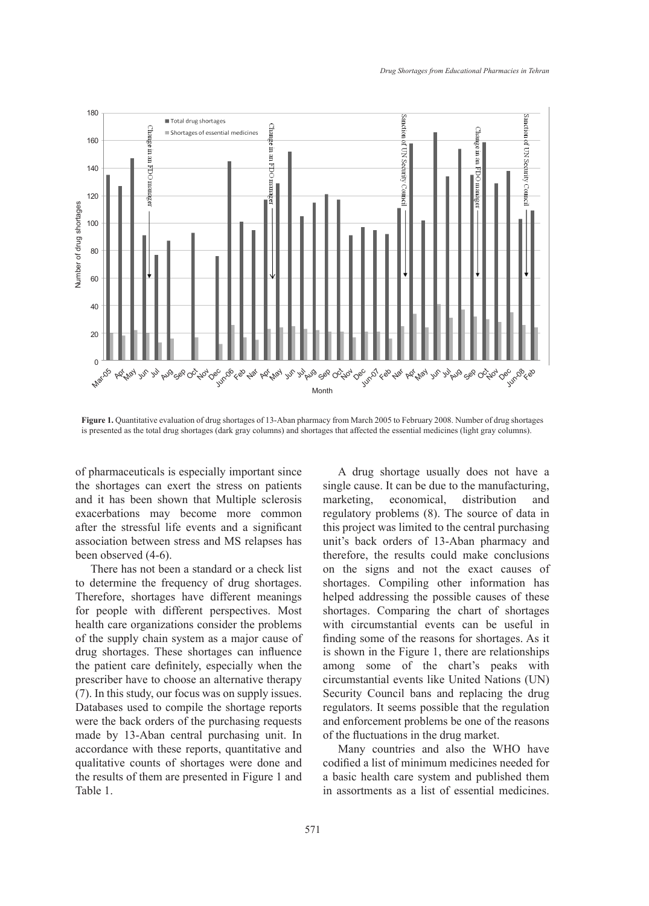

**Figure 1.** Quantitative evaluation of drug shortages of 13-Aban pharmacy from March 2005 to February 2008. Number of drug shortages is presented as the total drug shortages (dark gray columns) and shortages that affected the essential medicines (light gray columns).

of pharmaceuticals is especially important since the shortages can exert the stress on patients and it has been shown that Multiple sclerosis exacerbations may become more common after the stressful life events and a significant association between stress and MS relapses has been observed (4-6).

There has not been a standard or a check list to determine the frequency of drug shortages. Therefore, shortages have different meanings for people with different perspectives. Most health care organizations consider the problems of the supply chain system as a major cause of drug shortages. These shortages can influence the patient care definitely, especially when the prescriber have to choose an alternative therapy (7). In this study, our focus was on supply issues. Databases used to compile the shortage reports were the back orders of the purchasing requests made by 13-Aban central purchasing unit. In accordance with these reports, quantitative and qualitative counts of shortages were done and the results of them are presented in Figure 1 and Table 1.

A drug shortage usually does not have a single cause. It can be due to the manufacturing, marketing, economical, distribution and regulatory problems (8). The source of data in this project was limited to the central purchasing unit's back orders of 13-Aban pharmacy and therefore, the results could make conclusions on the signs and not the exact causes of shortages. Compiling other information has helped addressing the possible causes of these shortages. Comparing the chart of shortages with circumstantial events can be useful in finding some of the reasons for shortages. As it is shown in the Figure 1, there are relationships among some of the chart's peaks with circumstantial events like United Nations (UN) Security Council bans and replacing the drug regulators. It seems possible that the regulation and enforcement problems be one of the reasons of the fluctuations in the drug market.

Many countries and also the WHO have codified a list of minimum medicines needed for a basic health care system and published them in assortments as a list of essential medicines.